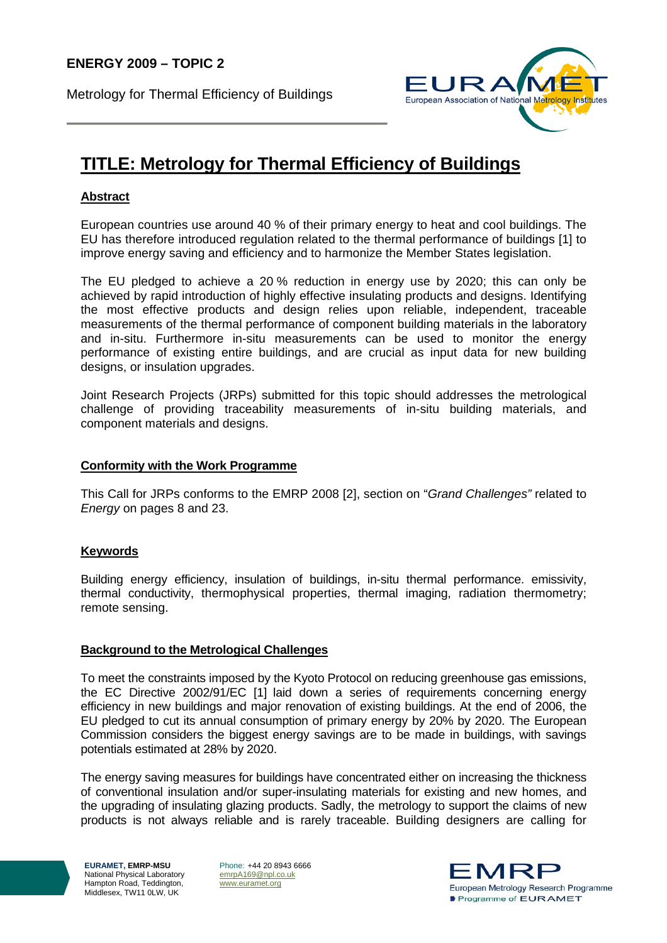Metrology for Thermal Efficiency of Buildings



# **TITLE: Metrology for Thermal Efficiency of Buildings**

## **Abstract**

European countries use around 40 % of their primary energy to heat and cool buildings. The EU has therefore introduced regulation related to the thermal performance of buildings [1] to improve energy saving and efficiency and to harmonize the Member States legislation.

The EU pledged to achieve a 20 % reduction in energy use by 2020; this can only be achieved by rapid introduction of highly effective insulating products and designs. Identifying the most effective products and design relies upon reliable, independent, traceable measurements of the thermal performance of component building materials in the laboratory and in-situ. Furthermore in-situ measurements can be used to monitor the energy performance of existing entire buildings, and are crucial as input data for new building designs, or insulation upgrades.

Joint Research Projects (JRPs) submitted for this topic should addresses the metrological challenge of providing traceability measurements of in-situ building materials, and component materials and designs.

#### **Conformity with the Work Programme**

This Call for JRPs conforms to the EMRP 2008 [2], section on "*Grand Challenges"* related to *Energy* on pages 8 and 23.

#### **Keywords**

Building energy efficiency, insulation of buildings, in-situ thermal performance. emissivity, thermal conductivity, thermophysical properties, thermal imaging, radiation thermometry; remote sensing.

#### **Background to the Metrological Challenges**

To meet the constraints imposed by the Kyoto Protocol on reducing greenhouse gas emissions, the EC Directive 2002/91/EC [1] laid down a series of requirements concerning energy efficiency in new buildings and major renovation of existing buildings. At the end of 2006, the EU pledged to cut its annual consumption of primary energy by 20% by 2020. The European Commission considers the biggest energy savings are to be made in buildings, with savings potentials estimated at 28% by 2020.

The energy saving measures for buildings have concentrated either on increasing the thickness of conventional insulation and/or super-insulating materials for existing and new homes, and the upgrading of insulating glazing products. Sadly, the metrology to support the claims of new products is not always reliable and is rarely traceable. Building designers are calling for

**EURAMET, EMRP-MSU**  National Physical Laboratory Hampton Road, Teddington, Middlesex, TW11 0LW, UK

Phone: +44 20 8943 6666 emrpA169@npl.co.uk www.euramet.org

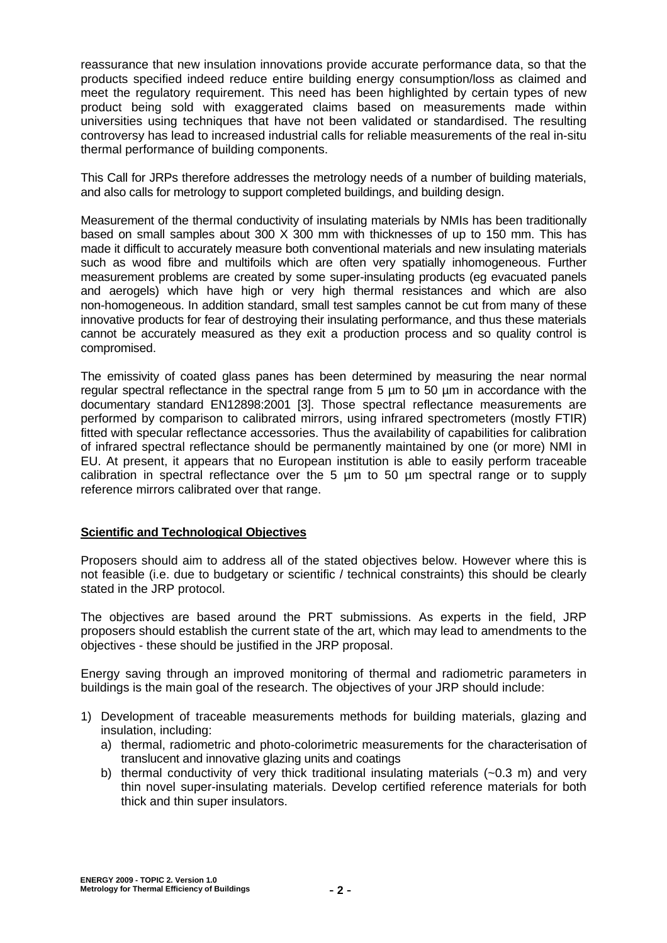reassurance that new insulation innovations provide accurate performance data, so that the products specified indeed reduce entire building energy consumption/loss as claimed and meet the regulatory requirement. This need has been highlighted by certain types of new product being sold with exaggerated claims based on measurements made within universities using techniques that have not been validated or standardised. The resulting controversy has lead to increased industrial calls for reliable measurements of the real in-situ thermal performance of building components.

This Call for JRPs therefore addresses the metrology needs of a number of building materials, and also calls for metrology to support completed buildings, and building design.

Measurement of the thermal conductivity of insulating materials by NMIs has been traditionally based on small samples about 300 X 300 mm with thicknesses of up to 150 mm. This has made it difficult to accurately measure both conventional materials and new insulating materials such as wood fibre and multifoils which are often very spatially inhomogeneous. Further measurement problems are created by some super-insulating products (eg evacuated panels and aerogels) which have high or very high thermal resistances and which are also non-homogeneous. In addition standard, small test samples cannot be cut from many of these innovative products for fear of destroying their insulating performance, and thus these materials cannot be accurately measured as they exit a production process and so quality control is compromised.

The emissivity of coated glass panes has been determined by measuring the near normal regular spectral reflectance in the spectral range from 5 µm to 50 µm in accordance with the documentary standard EN12898:2001 [3]. Those spectral reflectance measurements are performed by comparison to calibrated mirrors, using infrared spectrometers (mostly FTIR) fitted with specular reflectance accessories. Thus the availability of capabilities for calibration of infrared spectral reflectance should be permanently maintained by one (or more) NMI in EU. At present, it appears that no European institution is able to easily perform traceable calibration in spectral reflectance over the 5 µm to 50 µm spectral range or to supply reference mirrors calibrated over that range.

#### **Scientific and Technological Objectives**

Proposers should aim to address all of the stated objectives below. However where this is not feasible (i.e. due to budgetary or scientific / technical constraints) this should be clearly stated in the JRP protocol.

The objectives are based around the PRT submissions. As experts in the field, JRP proposers should establish the current state of the art, which may lead to amendments to the objectives - these should be justified in the JRP proposal.

Energy saving through an improved monitoring of thermal and radiometric parameters in buildings is the main goal of the research. The objectives of your JRP should include:

- 1) Development of traceable measurements methods for building materials, glazing and insulation, including:
	- a) thermal, radiometric and photo-colorimetric measurements for the characterisation of translucent and innovative glazing units and coatings
	- b) thermal conductivity of very thick traditional insulating materials (~0.3 m) and very thin novel super-insulating materials. Develop certified reference materials for both thick and thin super insulators.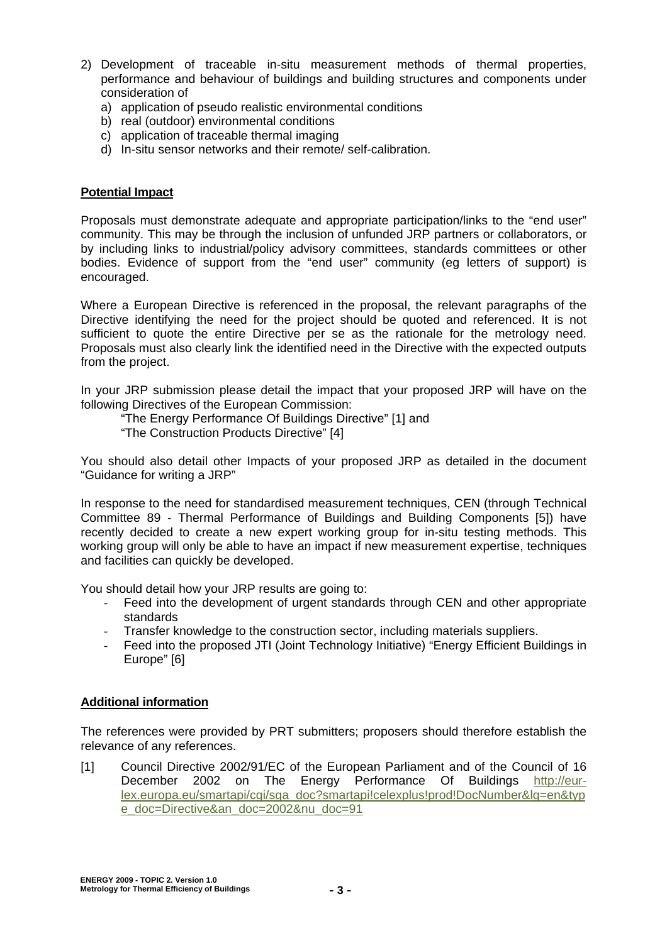- 2) Development of traceable in-situ measurement methods of thermal properties, performance and behaviour of buildings and building structures and components under consideration of
	- a) application of pseudo realistic environmental conditions
	- b) real (outdoor) environmental conditions
	- c) application of traceable thermal imaging
	- d) In-situ sensor networks and their remote/ self-calibration.

### **Potential Impact**

Proposals must demonstrate adequate and appropriate participation/links to the "end user" community. This may be through the inclusion of unfunded JRP partners or collaborators, or by including links to industrial/policy advisory committees, standards committees or other bodies. Evidence of support from the "end user" community (eg letters of support) is encouraged.

Where a European Directive is referenced in the proposal, the relevant paragraphs of the Directive identifying the need for the project should be quoted and referenced. It is not sufficient to quote the entire Directive per se as the rationale for the metrology need. Proposals must also clearly link the identified need in the Directive with the expected outputs from the project.

In your JRP submission please detail the impact that your proposed JRP will have on the following Directives of the European Commission:

"The Energy Performance Of Buildings Directive" [1] and

"The Construction Products Directive" [4]

You should also detail other Impacts of your proposed JRP as detailed in the document "Guidance for writing a JRP"

In response to the need for standardised measurement techniques, CEN (through Technical Committee 89 - Thermal Performance of Buildings and Building Components [5]) have recently decided to create a new expert working group for in-situ testing methods. This working group will only be able to have an impact if new measurement expertise, techniques and facilities can quickly be developed.

You should detail how your JRP results are going to:

- Feed into the development of urgent standards through CEN and other appropriate standards
- Transfer knowledge to the construction sector, including materials suppliers.
- Feed into the proposed JTI (Joint Technology Initiative) "Energy Efficient Buildings in Europe" [6]

#### **Additional information**

The references were provided by PRT submitters; proposers should therefore establish the relevance of any references.

[1] Council Directive 2002/91/EC of the European Parliament and of the Council of 16 December 2002 on The Energy Performance Of Buildings http://eurlex.europa.eu/smartapi/cgi/sga\_doc?smartapi!celexplus!prod!DocNumber&lg=en&typ e\_doc=Directive&an\_doc=2002&nu\_doc=91